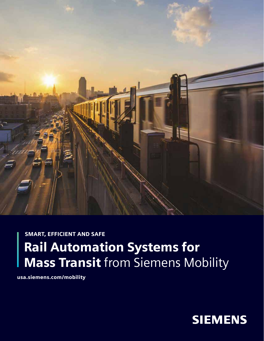

# SMART, EFFICIENT AND SAFE Rail Automation Systems for **Mass Transit** from Siemens Mobility

usa.siemens.com/mobility

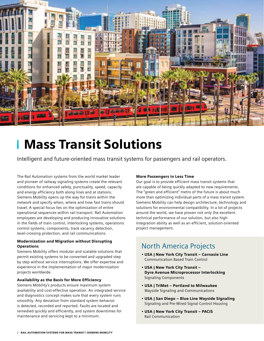

# Mass Transit Solutions

Intelligent and future-oriented mass transit systems for passengers and rail operators.

The Rail Automation systems from the world market leader and pioneer of railway signaling systems create the relevant conditions for enhanced safety, punctuality, speed, capacity and energy efficiency both along lines and at stations. Siemens Mobility opens up the way for trains within the network and specify when, where and how fast trains should travel. A special focus lies on the optimization of entire operational sequences within rail transport. Rail Automation employees are developing and producing innovative solutions in the fields of train control, interlocking systems, operations control systems, components, track vacancy detection, level-crossing protection, and rail communications.

#### Modernization and Migration without Disrupting **Operations**

Siemens Mobility offers modular and scalable solutions that permit existing systems to be converted and upgraded step by step without service interruptions. We offer expertise and experience in the implementation of major modernization projects worldwide.

#### Availability as the Basis for More Efficiency

Siemens Mobility's products ensure maximum system availability and cost-effective operation. An integrated service and diagnostics concept makes sure that every system runs smoothly. Any deviation from standard system behavior is detected, recorded and reported. Faults are located and remedied quickly and efficiently, and system downtimes for maintenance and servicing kept to a minimum.

#### More Passengers in Less Time

Our goal is to provide efficient mass transit systems that are capable of being quickly adapted to new requirements. The "green and efficient" metro of the future is about much more than optimizing individual parts of a mass transit system. Siemens Mobility can help design architecture, technology and solutions for environmental compatibility. In a lot of projects around the world, we have proven not only the excellent technical performance of our solution, but also high integration ability as well as an efficient, solution-oriented project management.

# North America Projects

- USA | New York City Transit ‒ Carnasie Line Communication Based Train Control
- USA | New York City Transit ‒ Dyre Avenue Microprocessor Interlocking Signaling Components
- USA | TriMet ‒ Portland to Milwaukee Wayside Signaling and Communications
- USA | San Diego ‒ Blue Line Wayside Signaling Signaling and Pre-Wired Signal Control Housing
- USA | New York City Transit PACIS Rail Communication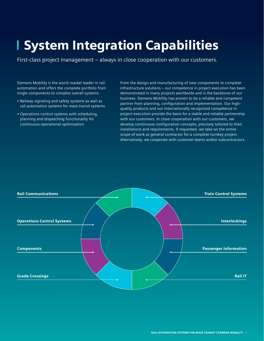# System Integration Capabilities

First-class project management – always in close cooperation with our customers.

Siemens Mobility is the world market leader in rail automation and offers the complete portfolio from single components to complex overall systems:

- Railway signaling and safety systems as well as rail automation systems for mass transit systems
- Operations control systems with scheduling, planning and dispatching functionality for continuous operational optimization

From the design and manufacturing of new components to complete infrastructure solutions – our competence in project execution has been demonstrated in many projects worldwide and is the backbone of our business. Siemens Mobility has proven to be a reliable and competent partner from planning, configuration and implementation. Our highquality products and our internationally recognized competence in project execution provide the basis for a stable and reliable partnership with our customers. In close cooperation with our customers, we develop continuous configuration concepts, precisely tailored to their installations and requirements. If requested, we take on the entire scope of work as general contractor for a complete turnkey project. Alternatively, we cooperate with customer teams and/or subcontractors.

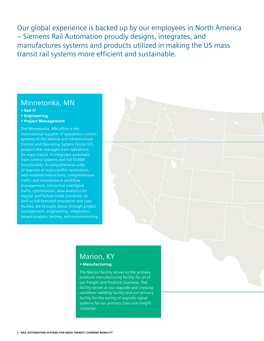Our global experience is backed up by our employees in North America – Siemens Rail Automation proudly designs, integrates, and manufactures systems and products utilized in making the US mass transit rail systems more efficient and sustainable.

## Minnetonka, MN

- Rail IT
- Engineering
- Project Management

The Minnetonka, MN office is the international supplier of operations control systems of the Vehicle and Infrastructure Control and Operating System (Vicos OC) product that manages train operations for mass transit. It integrates automatic train control systems and full SCADA functionality. A comprehensive suite of features of train conflict resolutions, web-enabled interactions, comprehensive traffic and maintenance workflow management, interactive intelligent traffic optimization, data analytics for regular and failure mode scenarios, as well as full-featured simulation and case studies, are brought about through project management, engineering, integration, hazard analysis, testing, and commissioning.

# Marion, KY

#### • Manufacturing

The Marion facility serves as the primary products manufacturing facility for all of our Freight and Products business. The facility serves as our wayside and crossing cantilever welding facility and our primary facility for the wiring of wayside signal systems for our primary class one freight customer.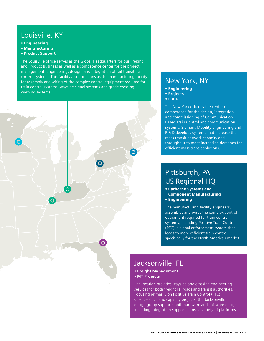## Louisville, KY

• Engineering

- Manufacturing
- Product Support

The Louisville office serves as the Global Headquarters for our Freight and Product Business as well as a competence center for the project management, engineering, design, and integration of rail transit train control systems. This facility also functions as the manufacturing facility for assembly and wiring of the complex control equipment required for train control systems, wayside signal systems and grade crossing warning systems.

 $\overline{)}$ 

 $\overline{O}$ 

# New York, NY

- Engineering
- Projects
- R & D

The New York office is the center of competence for the design, integration, and commissioning of Communication Based Train Control and communication systems. Siemens Mobility engineering and R & D develops systems that increase the mass transit network capacity and throughput to meet increasing demands for efficient mass transit solutions.

# Pittsburgh, PA US Regional HQ

• Carborne Systems and Component Manufacturing • Engineering

The manufacturing facility engineers, assembles and wires the complex control equipment required for train control systems, including Positive Train Control (PTC), a signal enforcement system that leads to more efficient train control, specifically for the North American market.

# Jacksonville, FL

• Freight Management • MT Projects

The location provides wayside and crossing engineering services for both freight railroads and transit authorities. Focusing primarily on Positive Train Control (PTC), obsolescence and capacity projects, the Jacksonville design group supports both hardware and software design including integration support across a variety of platforms.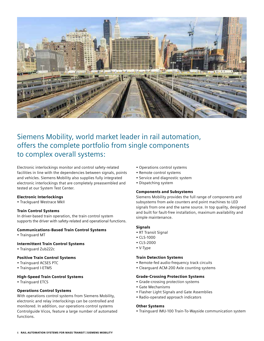

# Siemens Mobility, world market leader in rail automation, offers the complete portfolio from single components to complex overall systems:

Electronic interlockings monitor and control safety-related facilities in line with the dependencies between signals, points and vehicles. Siemens Mobility also supplies fully integrated electronic interlockings that are completely preassembled and tested at our System Test Center.

#### Electronic Interlockings

• Trackguard Westrace MkII

#### Train Control Systems

In driver-based train operation, the train control system supports the driver with safety-related and operational functions.

#### Communications-Based Train Control Systems

• Trainguard MT

#### Intermittent Train Control Systems

• Trainguard Zub222c

#### Positive Train Control Systems

- Trainguard ACSES PTC
- Trainguard I-ETMS

#### High-Speed Train Control Systems

• Trainguard ETCS

#### Operations Control Systems

With operations control systems from Siemens Mobility, electronic and relay interlockings can be controlled and monitored. In addition, our operations control systems Controlguide Vicos, feature a large number of automated functions.

- Operations control systems
- Remote control systems
- Service and diagnostic system
- Dispatching system

#### Components and Subsystems

Siemens Mobility provides the full range of components and subsystems from axle counters and point machines to LED signals from one and the same source. In top quality, designed and built for fault-free installation, maximum availability and simple maintenance.

#### **Signals**

- RT Transit Signal
- CLS-1000
- CLS-2000
- V-Type

#### Train Detection Systems

- Remote-fed audio-frequency track circuits
- Clearguard ACM-200 Axle counting systems

#### Grade-Crossing Protection Systems

- Grade-crossing protection systems
- Gate Mechanisms
- Flasher Light Signals and Gate Assemblies
- Radio-operated approach indicators

#### Other Systems

• Trainguard IMU-100 Train-To-Wayside communication system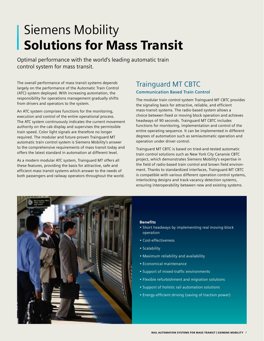# Siemens Mobility **Solutions for Mass Transit**

Optimal performance with the world's leading automatic train control system for mass transit.

The overall performance of mass transit systems depends largely on the performance of the Automatic Train Control (ATC) system deployed. With increasing automation, the responsibility for operations management gradually shifts from drivers and operators to the system.

An ATC system comprises functions for the monitoring, execution and control of the entire operational process. The ATC system continuously indicates the current movement authority on the cab display and supervises the permissible train speed. Color light signals are therefore no longer required. The modular and future-proven Trainguard MT automatic train control system is Siemens Mobility's answer to the comprehensive requirements of mass transit today and offers the latest standard in automation at different level.

As a modern modular ATC system, Trainguard MT offers all these features, providing the basis for attractive, safe and efficient mass transit systems which answer to the needs of both passengers and railway operators throughout the world.

### Trainguard MT CBTC **Communication Based Train Control**

The modular train control system Trainguard MT CBTC provides the signaling basis for attractive, reliable, and efficient mass-transit systems. The radio-based system allows a choice between fixed or moving block operation and achieves headways of 90 seconds. Trainguard MT CBTC includes functions for monitoring, implementation and control of the entire operating sequence. It can be implemented in different degrees of automation such as semiautomatic operation and operation under driver control.

Trainguard MT CBTC is based on tried-and-tested automatic train control solutions such as New York City Canarsie CBTC project, which demonstrates Siemens Mobility's expertise in the field of radio-based train control and brown field environment. Thanks to standardized interfaces, Trainguard MT CBTC is compatible with various different operation control systems, interlocking designs and track-vacancy detection systems, ensuring interoperability between new and existing systems.



- Short headways by implementing real moving-block operation
- Cost-effectiveness
- Scalability
- Maximum reliability and availability
- Economical maintenance
- Support of mixed-traffic environments
- Flexible refurbishment and migration solutions
- Support of holistic rail automation solutions
- Energy-efficient driving (saving of traction power)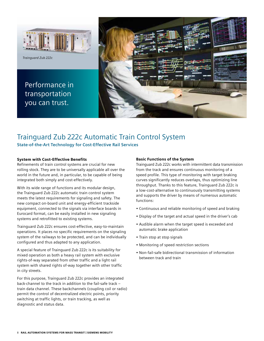

*Trainguard Zub 222c*

Performance in transportation you can trust.



# Trainguard Zub 222c Automatic Train Control System

**State-of-the-Art Technology for Cost-Effective Rail Services**

#### System with Cost-Effective Benefits

Refinements of train control systems are crucial for new rolling stock. They are to be universally applicable all over the world in the future and, in particular, to be capable of being integrated both simply and cost-effectively.

With its wide range of functions and its modular design, the Trainguard Zub 222c automatic train control system meets the latest requirements for signaling and safety. The new compact on-board unit and energy-efficient trackside equipment, connected to the signals via interface boards in Eurocard format, can be easily installed in new signaling systems and retrofitted to existing systems.

Trainguard Zub 222c ensures cost-effective, easy-to-maintain operations. It places no specific requirements on the signaling system of the railways to be protected, and can be individually configured and thus adapted to any application.

A special feature of Trainguard Zub 222c is its suitability for mixed operation as both a heavy rail system with exclusive rights-of-way separated from other traffic and a light rail system with shared rights of-way together with other traffic in city streets.

For this purpose, Trainguard Zub 222c provides an integrated back-channel to the track in addition to the fail-safe track – train data channel. These backchannels (coupling coil or radio) permit the control of decentralized electric points, priority switching at traffic lights, or train tracking, as well as diagnostic and status data.

#### Basic Functions of the System

Trainguard Zub 222c works with intermittent data transmission from the track and ensures continuous monitoring of a speed profile. This type of monitoring with target braking curves significantly reduces overlaps, thus optimizing line throughput. Thanks to this feature, Trainguard Zub 222c is a low-cost-alternative to continuously transmitting systems and supports the driver by means of numerous automatic functions:

- Continuous and reliable monitoring of speed and braking
- Display of the target and actual speed in the driver's cab
- Audible alarm when the target speed is exceeded and automatic brake application
- Train stop at stop signals
- Monitoring of speed restriction sections
- Non-fail-safe bidirectional transmission of information between track and train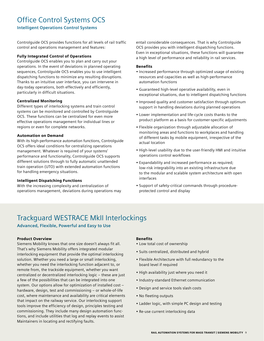# Office Control Systems OCS

**Intelligent Operations Control Systems**

Controlguide OCS provides functions for all levels of rail traffic control and operations management and features:

#### Fully Integrated Control of Operations

Controlguide OCS enables you to plan and carry out your operations. In the event of deviations in planned operating sequences, Controlguide OCS enables you to use intelligent dispatching functions to minimize any resulting disruptions. Thanks to an intuitive user interface, you can intervene in day-today operations, both effectively and efficiently, particularly in difficult situations.

#### Centralized Monitoring

Different types of interlocking systems and train control systems can be monitored and controlled by Controlguide OCS. These functions can be centralized for even more effective operations management for individual lines or regions or even for complete networks.

#### Automation on Demand

With its high-performance automation functions, Controlguide OCS offers ideal conditions for centralizing operations management. Whatever is required of your systems' performance and functionality, Controlguide OCS supports different solutions through to fully automatic unattended train operation (UTO) with extended automation functions for handling emergency situations.

#### Intelligent Dispatching Functions

With the increasing complexity and centralization of operations management, deviations during operations may entail considerable consequences. That is why Controlguide OCS provides you with intelligent dispatching functions. Even in exceptional situations, these functions will guarantee a high level of performance and reliability in rail services.

#### **Benefits**

- Increased performance through optimized usage of existing resources and capacities as well as high-performance automation functions
- Guaranteed high-level operative availability, even in exceptional situations, due to intelligent dispatching functions
- Improved quality and customer satisfaction through optimum support in handling deviations during planned operations
- Lower implementation and life-cycle costs thanks to the product platform as a basis for customer-specific adjustments
- Flexible organization through adjustable allocation of monitoring areas and functions to workplaces and handling of different tasks by mobile equipment, irrespective of the actual location
- High-level usability due to the user-friendly HMI and intuitive operations control workflows
- Expandability and increased performance as required; low-risk integrability into an existing infrastructure due to the modular and scalable system architecture with open interfaces
- Support of safety-critical commands through procedureprotected control and display

# Trackguard WESTRACE MkII Interlockings

**Advanced, Flexible, Powerful and Easy to Use**

#### Product Overview

Siemens Mobility knows that one size doesn't always fit all. That's why Siemens Mobility offers integrated modular interlocking equipment that provide the optimal interlocking solution. Whether you need a large or small interlocking, whether you need the interlocking function adjacent to, or remote from, the trackside equipment, whether you want centralized or decentralized interlocking logic – these are just a few of the possibilities that can be integrated into one system. Our options allow for optimization of installed cost – hardware, design, test and commissioning – or whole-of-life cost, where maintenance and availability are critical elements that impact on the railway service. Our interlocking support tools improve the efficiency of design, principles testing and commissioning. They include many design automation functions, and include utilities that log and replay events to assist Maintainers in locating and rectifying faults.

- Low total cost of ownership
- Suits centralized, distributed and hybrid
- Flexible Architecture with full redundancy to the board level if required
- High availability just where you need it
- Industry-standard Ethernet communication
- Design and service tools slash costs
- No fleeting outputs
- Ladder logic, with simple PC design and testing
- Re-use current interlocking data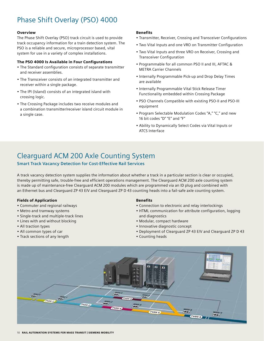# Phase Shift Overlay (PSO) 4000

#### Overview

The Phase Shift Overlay (PSO) track circuit is used to provide track occupancy information for a train detection system. The PSO is a reliable and secure, microprocessor based, vital system for use in a variety of complex installations.

#### The PSO 4000 Is Available in Four Configurations

- The Standard configuration consists of separate transmitter and receiver assemblies.
- The Transceiver consists of an integrated transmitter and receiver within a single package.
- The IPI (Island) consists of an integrated island with crossing logic.
- The Crossing Package includes two receive modules and a combination transmitter/receiver island circuit module in a single case.

#### Benefits

- Transmitter, Receiver, Crossing and Transceiver Configurations
- Two Vital Inputs and one VRO on Transmitter Configuration
- Two Vital Inputs and three VRO on Receiver, Crossing and Transceiver Configuration
- Programmable for all common PSO II and III, AFTAC & METRA Carrier Channels
- Internally Programmable Pick-up and Drop Delay Times are available
- Internally Programmable Vital Stick Release Timer Functionality embedded within Crossing Package
- PSO Channels Compatible with existing PSO-II and PSO-III equipment
- Program Selectable Modulation Codes "A," "C," and new 16 bit codes "D" "E" and "F"
- Ability to Dynamically Select Codes via Vital Inputs or ATCS Interface

# Clearguard ACM 200 Axle Counting System

#### **Smart Track Vacancy Detection for Cost-Effective Rail Services**

A track vacancy detection system supplies the information about whether a track in a particular section is clear or occupied, thereby permitting safe, trouble-free and efficient operations management. The Clearguard ACM 200 axle counting system is made up of maintenance-free Clearguard ACM 200 modules which are programmed via an ID plug and combined with an Ethernet bus and Clearguard ZP 43 E/V and Clearguard ZP D 43 counting heads into a fail-safe axle counting system.

#### Fields of Application

- Commuter and regional railways
- Metro and tramway systems
- Single-track and multiple-track lines
- Lines with and without blocking
- All traction types
- All common types of car
- Track sections of any length

- Connection to electronic and relay interlockings
- HTML communication for attribute configuration, logging and diagnostics
- Modular, compact hardware
- Innovative diagnostic concept
- Deployment of Clearguard ZP 43 E/V and Clearguard ZP D 43
- Counting heads

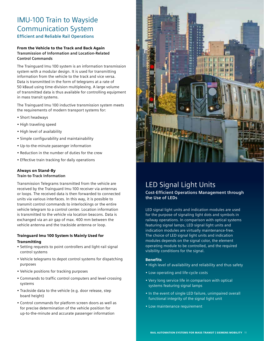## IMU-100 Train to Wayside Communication System **Efficient and Reliable Rail Operations**

#### From the Vehicle to the Track and Back Again **Transmission of Information and Location-Related Control Commands**

The Trainguard Imu 100 system is an information transmission system with a modular design. It is used for transmitting information from the vehicle to the track and vice versa. Data is transmitted in the form of telegrams at a rate of 50 kBaud using time-division multiplexing. A large volume of transmitted data is thus available for controlling equipment in mass transit systems.

The Trainguard Imu 100 inductive transmission system meets the requirements of modern transport systems for:

- Short headways
- High traveling speed
- High level of availability
- Simple configurability and maintainability
- Up-to-the-minute passenger information
- Reduction in the number of duties for the crew
- Effective train tracking for daily operations

#### Always on Stand-By **Train-to-Track Information**

Transmission Telegrams transmitted from the vehicle are received by the Trainguard Imu 100 receiver via antennas or loops. The received data is then forwarded to connected units via various interfaces. In this way, it is possible to transmit control commands to interlockings or the entire vehicle telegram to a control center. Location information is transmitted to the vehicle via location beacons. Data is exchanged via an air gap of max. 400 mm between the vehicle antenna and the trackside antenna or loop.

#### Trainguard Imu 100 System Is Mainly Used for **Transmitting**

- Setting requests to point controllers and light-rail signal control systems
- Vehicle telegrams to depot control systems for dispatching purposes
- Vehicle positions for tracking purposes
- Commands to traffic control computers and level-crossing systems
- Trackside data to the vehicle (e.g. door release, step board height)
- Control commands for platform screen doors as well as for precise determination of the vehicle position for up-to-the-minute and accurate passenger information



# LED Signal Light Units

**Cost-Efficient Operations Management through the Use of LEDs**

LED signal light units and indication modules are used for the purpose of signaling light dots and symbols in railway operations. In comparison with optical systems featuring signal lamps, LED signal light units and indication modules are virtually maintenance-free. The choice of LED signal light units and indication modules depends on the signal color, the element operating module to be controlled, and the required visibility conditions for the signal.

- High level of availability and reliability and thus safety
- Low operating and life-cycle costs
- Very long service life in comparison with optical systems featuring signal lamps
- In the event of single LED failure, unimpaired overall functional integrity of the signal light unit
- Low maintenance requirement